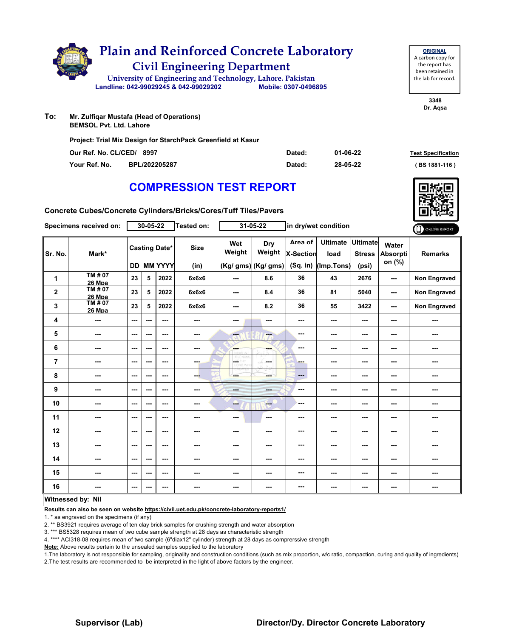|     | <b>Plain and Reinforced Concrete Laboratory</b><br><b>Civil Engineering Department</b> |                      |  |
|-----|----------------------------------------------------------------------------------------|----------------------|--|
|     | University of Engineering and Technology, Lahore. Pakistan                             |                      |  |
|     | Landline: 042-99029245 & 042-99029202                                                  | Mobile: 0307-0496895 |  |
| To: | Mr. Zulfiqar Mustafa (Head of Operations)<br><b>BEMSOL Pvt. Ltd. Lahore</b>            |                      |  |
|     | Project: Trial Mix Design for StarchPack Greenfield at Kasur                           |                      |  |

| Our Ref. No. CL/CED/ 8997 |               | Dated: | 01-06-22 | <b>Test Specification</b> |
|---------------------------|---------------|--------|----------|---------------------------|
| Your Ref. No.             | BPL/202205287 | Dated: | 28-05-22 | $(BS 1881 - 116)$         |

**3348 Dr. Aqsa**

**ORIGINAL** A carbon copy for the report has been retained in the lab for record.

# **COMPRESSION TEST REPORT**

**Concrete Cubes/Concrete Cylinders/Bricks/Cores/Tuff Tiles/Pavers**

| $30 - 05 - 22$<br>$31 - 05 - 22$<br>Tested on:<br>Specimens received on: |                          |      | in dry/wet condition | ONLINE REPORT                             |                     |               |                                      |                                         |                                       |                                           |                                    |                     |
|--------------------------------------------------------------------------|--------------------------|------|----------------------|-------------------------------------------|---------------------|---------------|--------------------------------------|-----------------------------------------|---------------------------------------|-------------------------------------------|------------------------------------|---------------------|
| Sr. No.                                                                  | Mark*                    |      |                      | <b>Casting Date*</b><br><b>DD MM YYYY</b> | <b>Size</b><br>(in) | Wet<br>Weight | Dry<br>Weight<br>(Kg/ gms) (Kg/ gms) | Area of<br><b>X-Section</b><br>(Sq. in) | <b>Ultimate</b><br>load<br>(Imp.Tons) | <b>Ultimate</b><br><b>Stress</b><br>(psi) | Water<br><b>Absorpti</b><br>on (%) | <b>Remarks</b>      |
| 1                                                                        | TM # 07<br>26 Mpa        | 23   | 5                    | 2022                                      | 6x6x6               | ---           | 8.6                                  | 36                                      | 43                                    | 2676                                      | ---                                | Non Engraved        |
| $\mathbf 2$                                                              | TM#07<br>26 Mpa          | 23   | 5                    | 2022                                      | 6x6x6               | $--$          | 8.4                                  | 36                                      | 81                                    | 5040                                      | ---                                | <b>Non Engraved</b> |
| 3                                                                        | TM#07<br><b>26 Mpa</b>   | 23   | 5                    | 2022                                      | 6x6x6               | ---           | 8.2                                  | 36                                      | 55                                    | 3422                                      | $\sim$ $\sim$                      | <b>Non Engraved</b> |
| 4                                                                        | ---                      | $--$ | ---                  | ---                                       | ---                 | ---           | ---                                  | ---                                     | ---                                   | ---                                       | ---                                | ---                 |
| 5                                                                        | ---                      | ---  | ---                  | ---                                       | ---                 | ---           | ---                                  | ---                                     | ---                                   | ---                                       | ---                                | ---                 |
| 6                                                                        | ---                      | ---  | ---                  | ---                                       | ---                 | ---           | ---                                  | ---                                     | ---                                   | ---                                       | ---                                | ---                 |
| $\overline{\mathbf{r}}$                                                  | ---                      | ---  | ---                  | ---                                       | ---                 | LGET          | la sua                               | ---                                     | ---                                   | ---                                       | ---                                | ---                 |
| 8                                                                        | ---                      | ---  | ---                  | ---                                       | ---                 | ---           | ---                                  | ---                                     | ---                                   | ---                                       | ---                                |                     |
| 9                                                                        | ---                      | $--$ | ---                  | $\overline{\phantom{a}}$                  | ---                 | ---           | ---                                  | ---                                     | ---                                   | $\overline{\phantom{a}}$                  | ---                                | ---                 |
| 10                                                                       | ---                      | ---  | ---                  | ---                                       | ---                 | ---           | ---                                  | ---                                     | ---                                   | ---                                       | ---                                | ---                 |
| 11                                                                       | ---                      | ---  | ---                  | ---                                       | ---                 | ---           | $\overline{\phantom{a}}$             | ---                                     | ---                                   | ---                                       | ---                                | ---                 |
| 12                                                                       | ---                      | $--$ | ---                  | ---                                       | ---                 | ---           | ---                                  | ---                                     | ---                                   | $--$                                      | ---                                | ---                 |
| 13                                                                       | ---                      | ---  | ---                  | ---                                       | ---                 | ---           | ---                                  | ---                                     | ---                                   | ---                                       | ---                                | ---                 |
| 14                                                                       | ---                      | ---  | ---                  | ---                                       | ---                 | ---           |                                      | ---                                     | ---                                   | ---                                       | ---                                |                     |
| 15                                                                       | ---                      | ---  | ---                  | ---                                       | ---                 | ---           | ---                                  | ---                                     | ---                                   | ---                                       | ---                                | ---                 |
| 16                                                                       | ---                      | $--$ | ---                  | ---                                       | ---                 | ---           | ---                                  | ---                                     | ---                                   | ---                                       | ---                                | ---                 |
|                                                                          | <b>Witnessed by: Nil</b> |      |                      |                                           |                     |               |                                      |                                         |                                       |                                           |                                    |                     |

#### **Witnessed by: Nil**

**Results can also be seen on website https://civil.uet.edu.pk/concrete-laboratory-reports1/**

1. \* as engraved on the specimens (if any)

2. \*\* BS3921 requires average of ten clay brick samples for crushing strength and water absorption

3. \*\*\* BS5328 requires mean of two cube sample strength at 28 days as characteristic strength

4. \*\*\*\* ACI318-08 requires mean of two sample (6"diax12" cylinder) strength at 28 days as comprerssive strength

**Note:** Above results pertain to the unsealed samples supplied to the laboratory

1.The laboratory is not responsible for sampling, originality and construction conditions (such as mix proportion, w/c ratio, compaction, curing and quality of ingredients) 2.The test results are recommended to be interpreted in the light of above factors by the engineer.

### **Supervisor (Lab) Director/Dy. Director Concrete Laboratory**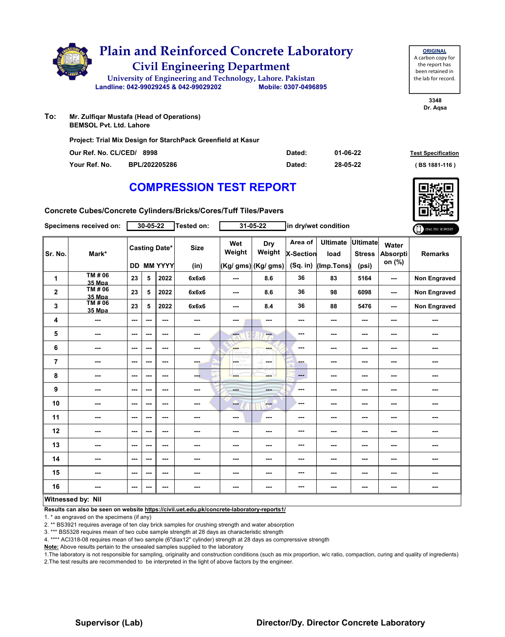|     |                                                                             | <b>Civil Engineering Department</b>                          | <b>Plain and Reinforced Concrete Laboratory</b>            |
|-----|-----------------------------------------------------------------------------|--------------------------------------------------------------|------------------------------------------------------------|
|     |                                                                             |                                                              | University of Engineering and Technology, Lahore. Pakistan |
|     |                                                                             | Landline: 042-99029245 & 042-99029202                        | Mobile: 0307-0496895                                       |
| To: | Mr. Zulfigar Mustafa (Head of Operations)<br><b>BEMSOL Pvt. Ltd. Lahore</b> | Project: Trial Mix Design for StarchPack Greenfield at Kasur |                                                            |

| Our Ref. No. CL/CED/ 8998 |               | Dated: | 01-06-22 | <b>Test Specification</b> |
|---------------------------|---------------|--------|----------|---------------------------|
| Your Ref. No.             | BPL/202205286 | Dated  | 28-05-22 | (BS 1881-116)             |

**Concrete Cubes/Concrete Cylinders/Bricks/Cores/Tuff Tiles/Pavers**

| Specimens received on:  |                          | $30 - 05 - 22$ |     |                                    | $31 - 05 - 22$<br>Tested on: |                | in dry/wet condition                 |                                         |                                       |                                           | ONLINE REPORT                      |                     |
|-------------------------|--------------------------|----------------|-----|------------------------------------|------------------------------|----------------|--------------------------------------|-----------------------------------------|---------------------------------------|-------------------------------------------|------------------------------------|---------------------|
| Sr. No.                 | Mark*                    |                |     | <b>Casting Date*</b><br>DD MM YYYY | <b>Size</b><br>(in)          | Wet<br>Weight  | Dry<br>Weight<br>(Kg/ gms) (Kg/ gms) | Area of<br><b>X-Section</b><br>(Sq. in) | <b>Ultimate</b><br>load<br>(Imp.Tons) | <b>Ultimate</b><br><b>Stress</b><br>(psi) | Water<br><b>Absorpti</b><br>on (%) | <b>Remarks</b>      |
| 1                       | TM # 06<br>35 Mpa        | 23             | 5   | 2022                               | 6x6x6                        | ---            | 8.6                                  | 36                                      | 83                                    | 5164                                      | ---                                | Non Engraved        |
| $\mathbf 2$             | TM # 06<br><b>35 Mpa</b> | 23             | 5   | 2022                               | 6x6x6                        | $\cdots$       | 8.6                                  | 36                                      | 98                                    | 6098                                      | ---                                | <b>Non Engraved</b> |
| 3                       | TM#06<br><b>35 Mpa</b>   | 23             | 5   | 2022                               | 6x6x6                        | ---            | 8.4                                  | 36                                      | 88                                    | 5476                                      | $\sim$ $\sim$                      | <b>Non Engraved</b> |
| 4                       | ---                      | $--$           | --- | ---                                | ---                          | ---            | ---                                  | ---                                     | ---                                   | ---                                       | ---                                | ---                 |
| 5                       | ---                      | ---            | --- | ---                                | ---                          | ---            | ---                                  | ---                                     | ---                                   | ---                                       | ---                                | ---                 |
| 6                       | ---                      | ---            | --- | ---                                | ---                          | ---            | ---                                  | ---                                     | ---                                   | ---                                       | ---                                | ---                 |
| $\overline{\mathbf{r}}$ | ---                      | ---            | --- | ---                                | ---                          | $\Delta\omega$ | la sua                               | ---                                     | ---                                   | ---                                       | ---                                | ---                 |
| 8                       | ---                      | ---            | --- | ---                                | ---                          | ---            | mente del                            | ---                                     | ---                                   | ---                                       | ---                                |                     |
| 9                       | ---                      | $--$           | --- | $\overline{\phantom{a}}$           | ---                          | ---            | ---                                  | ---                                     | ---                                   | $\overline{\phantom{a}}$                  | ---                                | ---                 |
| 10                      | ---                      | ---            | --- | ---                                | ---                          | ---            | $-$                                  | ---                                     | ---                                   | ---                                       | ---                                | ---                 |
| 11                      | ---                      | ---            | --- | ---                                | ---                          | ---            | $\overline{\phantom{a}}$             | ---                                     | ---                                   | ---                                       | ---                                | ---                 |
| 12                      | ---                      | $--$           | --- | ---                                | ---                          | ---            | ---                                  | ---                                     | ---                                   | $--$                                      | ---                                | ---                 |
| 13                      | ---                      | ---            | --- | ---                                | ---                          | ---            | ---                                  | ---                                     | ---                                   | ---                                       | ---                                | ---                 |
| 14                      | ---                      | ---            | --- | ---                                | ---                          | ---            |                                      | ---                                     | ---                                   | ---                                       | ---                                |                     |
| 15                      | ---                      | ---            | --- | ---                                | ---                          | ---            | ---                                  | ---                                     | ---                                   | ---                                       | ---                                | ---                 |
| 16                      | ---                      | $--$           | --- | ---                                | ---                          | ---            | ---                                  | ---                                     | ---                                   | ---                                       | ---                                | ---                 |
|                         | Witnessed by: Nil        |                |     |                                    |                              |                |                                      |                                         |                                       |                                           |                                    |                     |

#### **Witnessed by: Nil**

**Results can also be seen on website https://civil.uet.edu.pk/concrete-laboratory-reports1/**

1. \* as engraved on the specimens (if any)

2. \*\* BS3921 requires average of ten clay brick samples for crushing strength and water absorption

3. \*\*\* BS5328 requires mean of two cube sample strength at 28 days as characteristic strength

4. \*\*\*\* ACI318-08 requires mean of two sample (6"diax12" cylinder) strength at 28 days as comprerssive strength

**Note:** Above results pertain to the unsealed samples supplied to the laboratory

1.The laboratory is not responsible for sampling, originality and construction conditions (such as mix proportion, w/c ratio, compaction, curing and quality of ingredients) 2.The test results are recommended to be interpreted in the light of above factors by the engineer.



**ORIGINAL** A carbon copy for the report has been retained in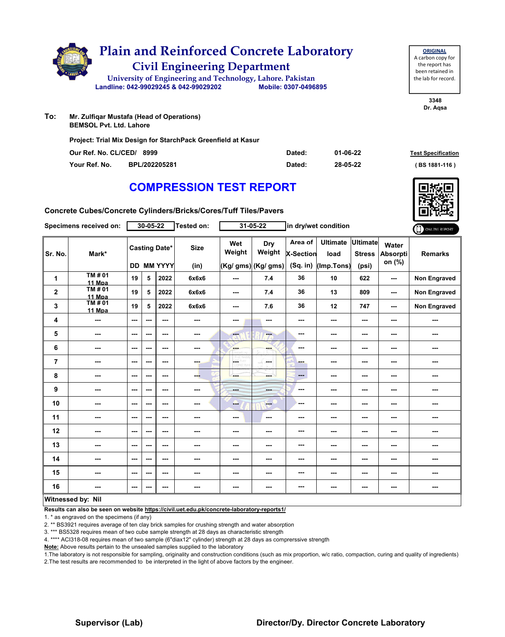|     | <b>Plain and Reinforced Concrete Laboratory</b><br><b>Civil Engineering Department</b><br>University of Engineering and Technology, Lahore. Pakistan<br>Landline: 042-99029245 & 042-99029202 | Mobile: 0307-0496895 |
|-----|-----------------------------------------------------------------------------------------------------------------------------------------------------------------------------------------------|----------------------|
| To: | Mr. Zulfigar Mustafa (Head of Operations)<br><b>BEMSOL Pvt. Ltd. Lahore</b><br>Project: Trial Mix Design for StarchPack Greenfield at Kasur                                                   |                      |

| Our Ref. No. CL/CED/ 8999 |               | Dated: | 01-06-22 | <b>Test Specification</b> |
|---------------------------|---------------|--------|----------|---------------------------|
| Your Ref. No.             | BPL/202205281 | Dated: | 28-05-22 | $(BS 1881 - 116)$         |

**Concrete Cubes/Concrete Cylinders/Bricks/Cores/Tuff Tiles/Pavers**

| Specimens received on: |                        |                          | $30 - 05 - 22$ |                                    | Tested on:          | $31 - 05 - 22$           |                                      | in dry/wet condition                      |                                       |                                           |                                    | ONLINE REPORT       |
|------------------------|------------------------|--------------------------|----------------|------------------------------------|---------------------|--------------------------|--------------------------------------|-------------------------------------------|---------------------------------------|-------------------------------------------|------------------------------------|---------------------|
| Sr. No.                | Mark*                  |                          |                | <b>Casting Date*</b><br>DD MM YYYY | <b>Size</b><br>(in) | Wet<br>Weight            | Dry<br>Weight<br>(Kg/ gms) (Kg/ gms) | Area of<br><b>X-Section</b><br>$(Sq.$ in) | <b>Ultimate</b><br>load<br>(Imp.Tons) | <b>Ultimate</b><br><b>Stress</b><br>(psi) | Water<br><b>Absorpti</b><br>on (%) | <b>Remarks</b>      |
| 1                      | <b>TM#01</b><br>11 Mpa | 19                       | 5              | 2022                               | 6x6x6               | ---                      | 7.4                                  | 36                                        | 10                                    | 622                                       | ---                                | <b>Non Engraved</b> |
| $\mathbf{2}$           | TM # 01<br>11 Mpa      | 19                       | 5              | 2022                               | 6x6x6               | $\overline{\phantom{a}}$ | 7.4                                  | 36                                        | 13                                    | 809                                       | ---                                | <b>Non Engraved</b> |
| 3                      | TM # 01<br>11 Mpa      | 19                       | 5              | 2022                               | 6x6x6               | ---                      | 7.6                                  | 36                                        | 12                                    | 747                                       | ---                                | Non Engraved        |
| 4                      | ---                    | ---                      | ---            | $\sim$ $\sim$                      | ---                 | ---                      | $\sim$                               | ---                                       | ---                                   | $--$                                      | ---                                | ---                 |
| 5                      | ---                    | ---                      | ---            | ---                                | ---                 | $\overline{\mathbf{a}}$  | ÷                                    | ---                                       | ---                                   | $--$                                      | ---                                | ---                 |
| 6                      | ---                    | $- - -$                  | ---            | ---                                | $\sim$              | <b>SHOP</b>              | ---                                  | ---                                       | ---                                   | ---                                       | ---                                | ---                 |
| $\overline{7}$         | ---                    | ---                      | ---            | ---                                | ---                 | LOST.                    | ---                                  | ---                                       | ---                                   | $--$                                      | ---                                | ---                 |
| 8                      | ---                    | ---                      | ---            | ---                                | ---                 | ---                      |                                      | ---                                       | ---                                   | $--$                                      | ---                                | ---                 |
| 9                      | ---                    | ---                      | ---            | $\sim$                             | ---                 | <b>Barbara</b>           | ---                                  | ---                                       | ---                                   | $--$                                      | ---                                | ---                 |
| 10                     | ---                    | $\sim$ $\sim$            | ---            | $\sim$                             | ---                 | --                       | <b>Fee</b>                           | ---                                       | ---                                   | $--$                                      | ---                                | ---                 |
| 11                     | ---                    | ---                      | ---            | ---                                | ---                 | ---                      | $\sim$                               | ---                                       | ---                                   | $--$                                      | ---                                | ---                 |
| 12                     | ---                    | $-$                      | ---            | $\sim$ $\sim$                      | ---                 | ---                      | ---                                  | ---                                       | ---                                   | ---                                       | ---                                | ---                 |
| 13                     | ---                    | ---                      | ---            | ---                                | ---                 | ---                      | ---                                  | ---                                       | ---                                   | ---                                       | ---                                | ---                 |
| 14                     | ---                    | ---                      | ---            | ---                                | ---                 | ---                      | ---                                  | ---                                       | ---                                   | ---                                       | ---                                | ---                 |
| 15                     | ---                    | $\overline{\phantom{a}}$ | ---            | ---                                | ---                 | ---                      |                                      | ---                                       | ---                                   | ---                                       | ---                                | ---                 |
| 16                     | ---                    | $\sim$ $\sim$            | ---            | ---                                | ---                 | ---                      | ---                                  | ---                                       | ---                                   | $\sim$                                    | ---                                | ---                 |
|                        | Witnessed by: Nil      |                          |                |                                    |                     |                          |                                      |                                           |                                       |                                           |                                    |                     |

#### **Witnessed by: Nil**

**Results can also be seen on website https://civil.uet.edu.pk/concrete-laboratory-reports1/**

1. \* as engraved on the specimens (if any)

2. \*\* BS3921 requires average of ten clay brick samples for crushing strength and water absorption

3. \*\*\* BS5328 requires mean of two cube sample strength at 28 days as characteristic strength

4. \*\*\*\* ACI318-08 requires mean of two sample (6"diax12" cylinder) strength at 28 days as comprerssive strength

**Note:** Above results pertain to the unsealed samples supplied to the laboratory

1.The laboratory is not responsible for sampling, originality and construction conditions (such as mix proportion, w/c ratio, compaction, curing and quality of ingredients) 2.The test results are recommended to be interpreted in the light of above factors by the engineer.



**ORIGINAL** A carbon copy for the report has been retained in the lab for record.

> **3348 Dr. Aqsa**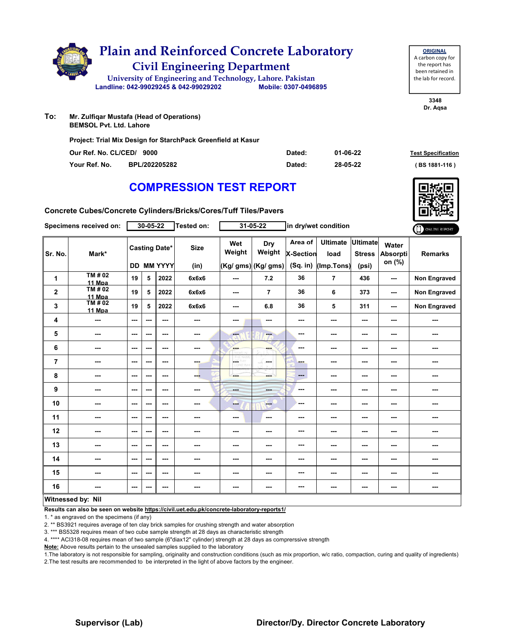|     | <b>Plain and Reinforced Concrete Laboratory</b><br><b>Civil Engineering Department</b> |
|-----|----------------------------------------------------------------------------------------|
|     | University of Engineering and Technology, Lahore. Pakistan                             |
|     | Mobile: 0307-0496895<br>Landline: 042-99029245 & 042-99029202                          |
| To: | Mr. Zulfigar Mustafa (Head of Operations)<br><b>BEMSOL Pvt. Ltd. Lahore</b>            |
|     | Project: Trial Mix Design for StarchPack Greenfield at Kasur                           |

| Our Ref. No. CL/CED/ 9000 |               | Dated: | 01-06-22 | <b>Test Specification</b> |
|---------------------------|---------------|--------|----------|---------------------------|
| Your Ref. No.             | BPL/202205282 | Dated: | 28-05-22 | (BS 1881-116)             |

**Concrete Cubes/Concrete Cylinders/Bricks/Cores/Tuff Tiles/Pavers**

| Specimens received on: |                   | $30 - 05 - 22$           |     |                                           | Tested on:               |                         | $31 - 05 - 22$                        | in dry/wet condition                      |                                       |                                           |                             | ONLINE REPORT       |
|------------------------|-------------------|--------------------------|-----|-------------------------------------------|--------------------------|-------------------------|---------------------------------------|-------------------------------------------|---------------------------------------|-------------------------------------------|-----------------------------|---------------------|
| Sr. No.                | Mark*             |                          |     | <b>Casting Date*</b><br><b>DD MM YYYY</b> | <b>Size</b><br>(in)      | Wet<br>Weight           | Dry<br>Weight<br>$(Kg/gms)$ (Kg/ gms) | Area of<br><b>X-Section</b><br>$(Sq.$ in) | <b>Ultimate</b><br>load<br>(Imp.Tons) | <b>Ultimate</b><br><b>Stress</b><br>(psi) | Water<br>Absorpti<br>on (%) | <b>Remarks</b>      |
| 1                      | TM # 02<br>11 Mpa | 19                       | 5   | 2022                                      | 6x6x6                    | ---                     | 7.2                                   | 36                                        | $\overline{7}$                        | 436                                       | ---                         | Non Engraved        |
| $\mathbf 2$            | TM # 02<br>11 Mpa | 19                       | 5   | 2022                                      | 6x6x6                    | ---                     | 7                                     | 36                                        | 6                                     | 373                                       | $\overline{\phantom{a}}$    | <b>Non Engraved</b> |
| 3                      | TM # 02<br>11 Mpa | 19                       | 5   | 2022                                      | 6x6x6                    | ---                     | 6.8                                   | 36                                        | 5                                     | 311                                       | $\overline{\phantom{a}}$    | Non Engraved        |
| 4                      | ---               | ---                      | --- | ---                                       | ---                      | ---                     | ---                                   | ---                                       | ---                                   | ---                                       | ---                         | ---                 |
| 5                      | ---               | $--$                     | --- | ---                                       | ---                      | $\overline{\mathbf{c}}$ | ---                                   | ---                                       | ---                                   | ---                                       | ---                         | ---                 |
| 6                      | $- - -$           | ---                      | --- | ---                                       | ---                      | <b>SHOP</b>             | ---                                   | ---                                       | ---                                   | ---                                       | ---                         | ---                 |
| $\overline{7}$         | ---               | $--$                     | --- | ---                                       | ---                      | ш.                      | ---                                   | ---                                       | ---                                   | ---                                       | ---                         | ---                 |
| 8                      | ---               | ---                      | --- | $--$                                      | ---                      |                         |                                       | ---                                       | ---                                   | ---                                       | ---                         | ---                 |
| 9                      | ---               | $\sim$ $\sim$            | --- | ---                                       | ---                      | <b>Barbara</b>          |                                       | ---                                       | ---                                   | ---                                       | ---                         | ---                 |
| 10                     | ---               | $--$                     | --- | $--$                                      | ---                      | ---                     | ---                                   | ---                                       | ---                                   | ---                                       | ---                         | ---                 |
| 11                     | ---               | ---                      | --- | ---                                       | ---                      | ---                     | $\sim$                                | ---                                       | ---                                   | ---                                       | ---                         | ---                 |
| 12                     | $- - -$           | $\sim$ $\sim$            | --- | ---                                       | ---                      | ---                     | ---                                   | ---                                       | ---                                   | ---                                       | ---                         | ---                 |
| 13                     | ---               | ---                      | --- | ---                                       | ---                      | ---                     | ---                                   | ---                                       | ---                                   | ---                                       | ---                         | ---                 |
| 14                     | ---               | $--$                     | --- | $--$                                      | $\overline{\phantom{a}}$ | ---                     | ---                                   | ---                                       | ---                                   | ---                                       | ---                         | ---                 |
| 15                     | ---               | $\sim$ $\sim$            | --- | ---                                       | ---                      | ---                     | ---                                   | ---                                       | ---                                   | ---                                       | ---                         | ---                 |
| 16                     | ---               | $\overline{\phantom{a}}$ | --- | $\overline{\phantom{a}}$                  | ---                      | ---                     | ---                                   | ---                                       | ---                                   | ---                                       | ---                         | ---                 |
|                        | Witnessed by: Nil |                          |     |                                           |                          |                         |                                       |                                           |                                       |                                           |                             |                     |

#### **Witnessed by: Nil**

**Results can also be seen on website https://civil.uet.edu.pk/concrete-laboratory-reports1/**

1. \* as engraved on the specimens (if any)

2. \*\* BS3921 requires average of ten clay brick samples for crushing strength and water absorption

3. \*\*\* BS5328 requires mean of two cube sample strength at 28 days as characteristic strength

4. \*\*\*\* ACI318-08 requires mean of two sample (6"diax12" cylinder) strength at 28 days as comprerssive strength

**Note:** Above results pertain to the unsealed samples supplied to the laboratory

1.The laboratory is not responsible for sampling, originality and construction conditions (such as mix proportion, w/c ratio, compaction, curing and quality of ingredients) 2.The test results are recommended to be interpreted in the light of above factors by the engineer.



**ORIGINAL** A carbon copy for the report has been retained in the lab for record.

> **3348 Dr. Aqsa**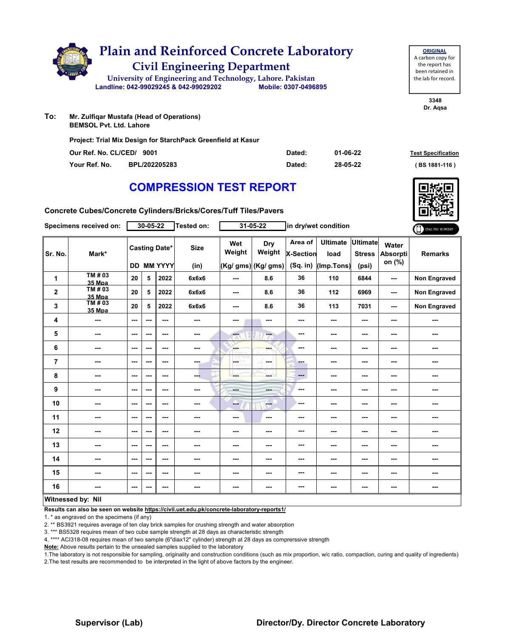|     | <b>Plain and Reinforced Concrete Laboratory</b><br><b>Civil Engineering Department</b><br>University of Engineering and Technology, Lahore. Pakistan<br>Landline: 042-99029245 & 042-99029202 | Mobile: 0307-0496895 |
|-----|-----------------------------------------------------------------------------------------------------------------------------------------------------------------------------------------------|----------------------|
| To: | Mr. Zulfigar Mustafa (Head of Operations)<br><b>BEMSOL Pvt. Ltd. Lahore</b><br>Project: Trial Mix Design for StarchPack Greenfield at Kasur                                                   |                      |

| <b>COMPRESSION TEST REPORT</b> |  |  |
|--------------------------------|--|--|

**Our Ref. No. CL/CED/ Dated: Test Specification 9001 Your Ref. No. BPL/202205283 Dated: ( BS 1881-116 )**

**01-06-22 28-05-22**

**Concrete Cubes/Concrete Cylinders/Bricks/Cores/Tuff Tiles/Pavers**

|             | Specimens received on:   |                          | 30-05-22 |                                           | <b>Tested on:</b>   |                          | $31 - 05 - 22$                              |                                    | in dry/wet condition                  |                                           |                             | ONLINE REPORT       |
|-------------|--------------------------|--------------------------|----------|-------------------------------------------|---------------------|--------------------------|---------------------------------------------|------------------------------------|---------------------------------------|-------------------------------------------|-----------------------------|---------------------|
| Sr. No.     | Mark*                    |                          |          | <b>Casting Date*</b><br><b>DD MM YYYY</b> | <b>Size</b><br>(in) | Wet<br>Weight            | <b>Dry</b><br>Weight<br>(Kg/ gms) (Kg/ gms) | Area of<br>X-Section<br>$(Sq.$ in) | <b>Ultimate</b><br>load<br>(Imp.Tons) | <b>Ultimate</b><br><b>Stress</b><br>(psi) | Water<br>Absorpti<br>on (%) | <b>Remarks</b>      |
| 1           | TM # 03<br>35 Mpa        | 20                       | 5        | 2022                                      | 6x6x6               | $\sim$                   | 8.6                                         | 36                                 | 110                                   | 6844                                      | ---                         | <b>Non Engraved</b> |
| $\mathbf 2$ | TM # 03<br>35 Mpa        | 20                       | 5        | 2022                                      | 6x6x6               | $\sim$ $\sim$            | 8.6                                         | 36                                 | 112                                   | 6969                                      | $\sim$ $\sim$               | <b>Non Engraved</b> |
| 3           | TM # 03<br><b>35 Mpa</b> | 20                       | 5        | 2022                                      | 6x6x6               | ---                      | 8.6                                         | 36                                 | 113                                   | 7031                                      | ---                         | <b>Non Engraved</b> |
| 4           | ---                      | $\cdots$                 | ---      | ---                                       | ---                 | ---                      | ---                                         | ---                                | ---                                   | ---                                       | ---                         |                     |
| 5           | ---                      | $\overline{\phantom{a}}$ | ---      | ---                                       | ---                 | $\overline{\mathbf{a}}$  | ---                                         | $\sim$                             | $\sim$ $\sim$                         | ---                                       | ---                         | ---                 |
| 6           | $- - -$                  | $\sim$ $\sim$            | ---      | ---                                       | ---                 | <b>SHOP</b>              | ---                                         | $\overline{\phantom{a}}$           | $- - -$                               | ---                                       | ---                         | ---                 |
| 7           | $\sim$                   | $\sim$ $\sim$            | ---      | ---                                       | ---                 | HÝ.<br>L.<br>373         | mana.                                       | ---                                | ---                                   | ---                                       | ---                         | ---                 |
| 8           | ---                      | ---                      | ---      | ---                                       | ---                 | ---                      | <b>START</b>                                | $\qquad \qquad \cdots$             | ---                                   | ---                                       | ---                         | ---                 |
| 9           | ---                      | $\overline{\phantom{a}}$ | ---      | ---                                       | ---                 | ---                      | $- - -$                                     | ---                                | ---                                   | ---                                       | ---                         | ---                 |
| 10          | $\sim$                   | $\sim$ $\sim$            | ---      | ---                                       | ---                 | --                       | <b>Fee</b>                                  | ---                                | $- - -$                               | ---                                       | ---                         | ---                 |
| 11          | ---                      | $\sim$                   | ---      | ---                                       | ---                 | $\overline{\phantom{a}}$ | $\overline{\phantom{a}}$                    | ---                                | ---                                   | ---                                       | ---                         | ---                 |
| 12          | ---                      | $\overline{\phantom{a}}$ | ---      | ---                                       | ---                 | ---                      | ---                                         | ---                                | $\overline{\phantom{a}}$              | ---                                       | ---                         | ---                 |
| 13          | ---                      | $\overline{\phantom{a}}$ | ---      | ---                                       |                     | ---                      | ---                                         | ---                                | ---                                   | ---                                       | ---                         | ---                 |
| 14          | ---                      | $\overline{\phantom{a}}$ | ---      | ---                                       | ---                 | ---                      | ---                                         | ---                                | ---                                   | ---                                       | ---                         | ---                 |
| 15          | ---                      | $\sim$ $\sim$            | ---      | ---                                       | ---                 | ---                      | ---                                         | ---                                | $\sim$ $\sim$                         | ---                                       | ---                         | ---                 |
| 16          | ---                      | ---                      | ---      | ---                                       |                     | ---                      | ---                                         | ---                                | ---                                   | ---                                       | ---                         | ---                 |
|             | Mitmondoller Nil         |                          |          |                                           |                     |                          |                                             |                                    |                                       |                                           |                             |                     |

#### **Witnessed by: Nil**

**Results can also be seen on website https://civil.uet.edu.pk/concrete-laboratory-reports1/**

1. \* as engraved on the specimens (if any)

2. \*\* BS3921 requires average of ten clay brick samples for crushing strength and water absorption

3. \*\*\* BS5328 requires mean of two cube sample strength at 28 days as characteristic strength

4. \*\*\*\* ACI318-08 requires mean of two sample (6"diax12" cylinder) strength at 28 days as comprerssive strength

**Note:** Above results pertain to the unsealed samples supplied to the laboratory

1.The laboratory is not responsible for sampling, originality and construction conditions (such as mix proportion, w/c ratio, compaction, curing and quality of ingredients) 2.The test results are recommended to be interpreted in the light of above factors by the engineer.



**ORIGINAL** A carbon copy for the report has been retained in the lab for record.

**Dr. Aqsa**

**3348**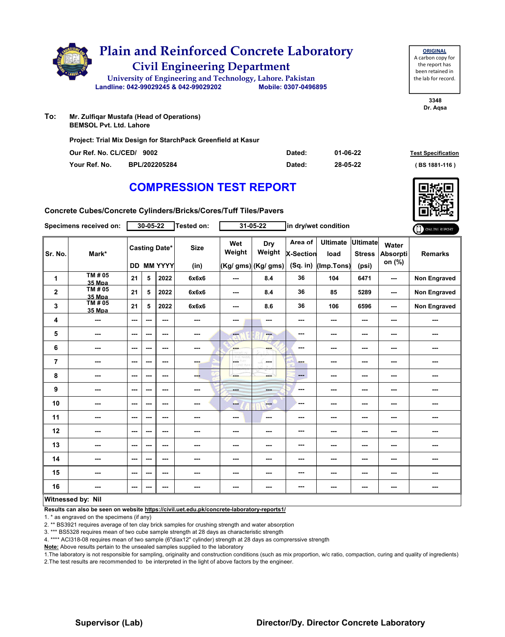|     | <b>Plain and Reinforced Concrete Laboratory</b><br><b>Civil Engineering Department</b> |                      |
|-----|----------------------------------------------------------------------------------------|----------------------|
|     | University of Engineering and Technology, Lahore. Pakistan                             |                      |
|     | Landline: 042-99029245 & 042-99029202                                                  | Mobile: 0307-0496895 |
| To: | Mr. Zulfiqar Mustafa (Head of Operations)<br><b>BEMSOL Pyt. Ltd. Lahore</b>            |                      |
|     | Project: Trial Mix Design for StarchPack Greenfield at Kasur                           |                      |

| Our Ref. No. CL/CED/ 9002 |               | Dated: | $01 - 06 - 22$ | <b>Test Specification</b> |
|---------------------------|---------------|--------|----------------|---------------------------|
| Your Ref. No.             | BPL/202205284 | Dated: | 28-05-22       | $(BS 1881 - 116)$         |

**3348 Dr. Aqsa**

**ORIGINAL** A carbon copy for the report has been retained in the lab for record.

# **COMPRESSION TEST REPORT**

**Concrete Cubes/Concrete Cylinders/Bricks/Cores/Tuff Tiles/Pavers**

| Specimens received on:  |                                  | $30 - 05 - 22$ |     |                                    | $31 - 05 - 22$<br>Tested on: |               | in dry/wet condition                 |                                         |                                       |                                           | ONLINE REPORT                      |                     |
|-------------------------|----------------------------------|----------------|-----|------------------------------------|------------------------------|---------------|--------------------------------------|-----------------------------------------|---------------------------------------|-------------------------------------------|------------------------------------|---------------------|
| Sr. No.                 | Mark*                            |                |     | <b>Casting Date*</b><br>DD MM YYYY | <b>Size</b><br>(in)          | Wet<br>Weight | Dry<br>Weight<br>(Kg/ gms) (Kg/ gms) | Area of<br><b>X-Section</b><br>(Sq. in) | <b>Ultimate</b><br>load<br>(Imp.Tons) | <b>Ultimate</b><br><b>Stress</b><br>(psi) | Water<br><b>Absorpti</b><br>on (%) | <b>Remarks</b>      |
| 1                       | TM # 05                          | 21             | 5   | 2022                               | 6x6x6                        | ---           | 8.4                                  | 36                                      | 104                                   | 6471                                      | ---                                | Non Engraved        |
| $\mathbf 2$             | 35 Mpa<br>TM#05<br><b>35 Mpa</b> | 21             | 5   | 2022                               | 6x6x6                        | $\cdots$      | 8.4                                  | 36                                      | 85                                    | 5289                                      | ---                                | <b>Non Engraved</b> |
| 3                       | TM#05<br><b>35 Mpa</b>           | 21             | 5   | 2022                               | 6x6x6                        | ---           | 8.6                                  | 36                                      | 106                                   | 6596                                      | $\sim$ $\sim$                      | <b>Non Engraved</b> |
| 4                       | ---                              | $--$           | --- | ---                                | ---                          | ---           | ---                                  | ---                                     | ---                                   | ---                                       | ---                                | ---                 |
| 5                       | ---                              | ---            | --- | ---                                | ---                          | ---           | ---                                  | ---                                     | ---                                   | ---                                       | ---                                | ---                 |
| 6                       | ---                              | ---            | --- | ---                                | ---                          | ---           | ---                                  | ---                                     | ---                                   | ---                                       | ---                                | ---                 |
| $\overline{\mathbf{r}}$ | ---                              | ---            | --- | ---                                | ---                          | LGET          | la sua                               | ---                                     | ---                                   | ---                                       | ---                                | ---                 |
| 8                       | ---                              | ---            | --- | ---                                | ---                          | ---           | ---                                  | ---                                     | ---                                   | ---                                       | ---                                |                     |
| 9                       | ---                              | $--$           | --- | $\overline{\phantom{a}}$           | ---                          | ---           | ---                                  | ---                                     | ---                                   | $\overline{\phantom{a}}$                  | ---                                | ---                 |
| 10                      | ---                              | ---            | --- | ---                                | ---                          | ---           | $-$                                  | ---                                     | ---                                   | ---                                       | ---                                | ---                 |
| 11                      | ---                              | ---            | --- | ---                                | ---                          | ---           | $\overline{\phantom{a}}$             | ---                                     | ---                                   | ---                                       | ---                                | ---                 |
| 12                      | ---                              | $--$           | --- | ---                                | ---                          | ---           | ---                                  | ---                                     | ---                                   | $--$                                      | ---                                | ---                 |
| 13                      | ---                              | ---            | --- | ---                                | ---                          | ---           | ---                                  | ---                                     | ---                                   | ---                                       | ---                                | ---                 |
| 14                      | ---                              | ---            | --- | ---                                | ---                          | ---           |                                      | ---                                     | ---                                   | ---                                       | ---                                |                     |
| 15                      | ---                              | ---            | --- | ---                                | ---                          | ---           | ---                                  | ---                                     | ---                                   | ---                                       | ---                                | ---                 |
| 16                      | ---                              | $--$           | --- | ---                                | ---                          | ---           | ---                                  | ---                                     | ---                                   | ---                                       | ---                                | ---                 |
|                         | Witnessed by: Nil                |                |     |                                    |                              |               |                                      |                                         |                                       |                                           |                                    |                     |

#### **Witnessed by: Nil**

**Results can also be seen on website https://civil.uet.edu.pk/concrete-laboratory-reports1/**

1. \* as engraved on the specimens (if any)

2. \*\* BS3921 requires average of ten clay brick samples for crushing strength and water absorption

3. \*\*\* BS5328 requires mean of two cube sample strength at 28 days as characteristic strength

4. \*\*\*\* ACI318-08 requires mean of two sample (6"diax12" cylinder) strength at 28 days as comprerssive strength

**Note:** Above results pertain to the unsealed samples supplied to the laboratory

1.The laboratory is not responsible for sampling, originality and construction conditions (such as mix proportion, w/c ratio, compaction, curing and quality of ingredients) 2.The test results are recommended to be interpreted in the light of above factors by the engineer.

### **Supervisor (Lab) Director/Dy. Director Concrete Laboratory**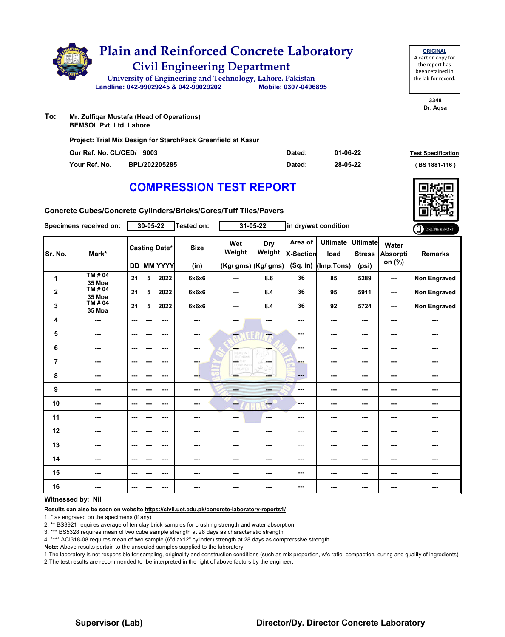|     | <b>Plain and Reinforced Concrete Laboratory</b><br><b>Civil Engineering Department</b>                                                      |                      |
|-----|---------------------------------------------------------------------------------------------------------------------------------------------|----------------------|
|     | University of Engineering and Technology, Lahore. Pakistan                                                                                  |                      |
|     | Landline: 042-99029245 & 042-99029202                                                                                                       | Mobile: 0307-0496895 |
| To: | Mr. Zulfiqar Mustafa (Head of Operations)<br><b>BEMSOL Pvt. Ltd. Lahore</b><br>Project: Trial Mix Design for StarchPack Greenfield at Kasur |                      |

| Our Ref. No. CL/CED/ 9003 |               | Dated: | 01-06-22 | <b>Test Specification</b> |
|---------------------------|---------------|--------|----------|---------------------------|
| Your Ref. No.             | BPL/202205285 | Dated: | 28-05-22 | (BS 1881-116)             |

**Concrete Cubes/Concrete Cylinders/Bricks/Cores/Tuff Tiles/Pavers**

| Specimens received on: |                          | $30 - 05 - 22$ |     |                                    | <b>Tested on:</b>   | $31 - 05 - 22$    |                                      | in dry/wet condition                    |                                       |                                           |                                    | ONLINE REPORT       |
|------------------------|--------------------------|----------------|-----|------------------------------------|---------------------|-------------------|--------------------------------------|-----------------------------------------|---------------------------------------|-------------------------------------------|------------------------------------|---------------------|
| Sr. No.                | Mark*                    |                |     | <b>Casting Date*</b><br>DD MM YYYY | <b>Size</b><br>(in) | Wet<br>Weight     | Dry<br>Weight<br>(Kg/ gms) (Kg/ gms) | Area of<br><b>X-Section</b><br>(Sq. in) | <b>Ultimate</b><br>load<br>(Imp.Tons) | <b>Ultimate</b><br><b>Stress</b><br>(psi) | Water<br><b>Absorpti</b><br>on (%) | <b>Remarks</b>      |
| 1                      | <b>TM#04</b><br>35 Mpa   | 21             | 5   | 2022                               | 6x6x6               | ---               | 8.6                                  | 36                                      | 85                                    | 5289                                      | ---                                | <b>Non Engraved</b> |
| $\mathbf 2$            | TM # 04<br><b>35 Mpa</b> | 21             | 5   | 2022                               | 6x6x6               | ---               | 8.4                                  | 36                                      | 95                                    | 5911                                      | ---                                | <b>Non Engraved</b> |
| 3                      | TM#04<br>35 Mpa          | 21             | 5   | 2022                               | 6x6x6               | ---               | 8.4                                  | 36                                      | 92                                    | 5724                                      | $\overline{\phantom{a}}$           | <b>Non Engraved</b> |
| 4                      | ---                      | ---            | --- | ---                                | ---                 | ---               | ---                                  | ---                                     | ---                                   | ---                                       | ---                                | ---                 |
| 5                      | ---                      | ---            | --- | ---                                | ---                 | <b>Free</b><br>۰A | ---                                  | ---                                     | ---                                   | ---                                       | ---                                | ---                 |
| 6                      | ---                      | $- - -$        | --- | ---                                | ---                 | ---               | ---                                  | ---                                     | ---                                   | ---                                       | ---                                | ---                 |
| $\overline{7}$         | ---                      | ---            | --- | ---                                | ---                 | LGET              | ---                                  | ---                                     | ---                                   | ---                                       | ---                                | ---                 |
| 8                      | ---                      | $--$           | --- | $\overline{\phantom{a}}$           | ---                 | ---               | ---                                  | ---                                     | ---                                   | ---                                       | ---                                | ---                 |
| 9                      | ---                      | ---            | --- | ---                                | ---                 | ---               | ---                                  | ---                                     | ---                                   | ---                                       | ---                                | ---                 |
| 10                     | ---                      | ---            | --- | $\sim$ $\sim$                      | ---                 | --                | ---                                  | ---                                     | ---                                   | $--$                                      | ---                                | ---                 |
| 11                     | ---                      | ---            | --- | ---                                | ---                 | ---               | ---                                  | ---                                     | ---                                   | ---                                       | ---                                | ---                 |
| 12                     | ---                      | ---            | --- | ---                                | ---                 | ---               | ---                                  | ---                                     | ---                                   | ---                                       | ---                                | ---                 |
| 13                     | ---                      | ---            | --- | ---                                | ---                 | ---               | ---                                  | ---                                     | ---                                   | ---                                       | ---                                | ---                 |
| 14                     | ---                      | ---            | --- | ---                                | ---                 | ---               | ---                                  | ---                                     | ---                                   | ---                                       | ---                                | ---                 |
| 15                     | ---                      | ---            | --- | ---                                | ---                 | ---               | ---                                  | ---                                     | ---                                   | $--$                                      | ---                                | ---                 |
| 16                     | ---                      | $--$           |     | ---                                | ---                 | ---               | ---                                  | ---                                     | ---                                   | $--$                                      | ---                                |                     |
|                        | Witnessed by: Nil        |                |     |                                    |                     |                   |                                      |                                         |                                       |                                           |                                    |                     |

#### **Witnessed by: Nil**

**Results can also be seen on website https://civil.uet.edu.pk/concrete-laboratory-reports1/**

1. \* as engraved on the specimens (if any)

2. \*\* BS3921 requires average of ten clay brick samples for crushing strength and water absorption

3. \*\*\* BS5328 requires mean of two cube sample strength at 28 days as characteristic strength

4. \*\*\*\* ACI318-08 requires mean of two sample (6"diax12" cylinder) strength at 28 days as comprerssive strength

**Note:** Above results pertain to the unsealed samples supplied to the laboratory

1.The laboratory is not responsible for sampling, originality and construction conditions (such as mix proportion, w/c ratio, compaction, curing and quality of ingredients) 2.The test results are recommended to be interpreted in the light of above factors by the engineer.



**ORIGINAL** A carbon copy for the report has been retained in the lab for record.

> **3348 Dr. Aqsa**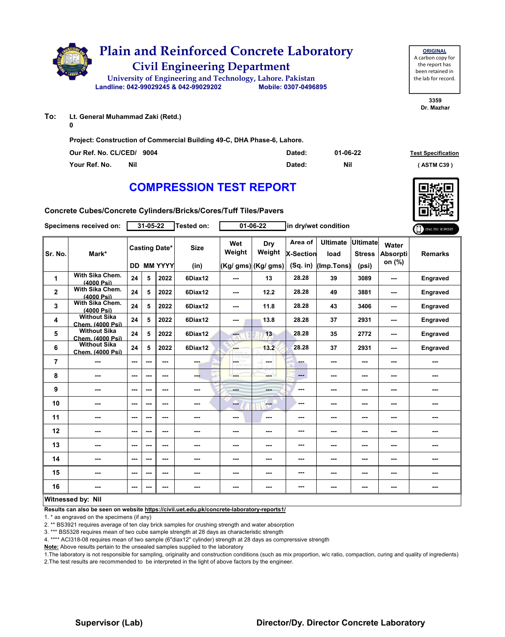

**To: Lt. General Muhammad Zaki (Retd.)**

**0**

**Project: Construction of Commercial Building 49-C, DHA Phase-6, Lahore.**

| Our Ref. No. CL/CED/ 9004 |     | Dated: | 01-06-22 | <b>Test Specification</b> |
|---------------------------|-----|--------|----------|---------------------------|
| Your Ref. No.             | Nil | Dated: | Nil      | <b>ASTM C39</b> 1         |

# **COMPRESSION TEST REPORT**

**Concrete Cubes/Concrete Cylinders/Bricks/Cores/Tuff Tiles/Pavers**

| Specimens received on: |                                                | 31-05-22 |               |                                           | <b>Tested on:</b>   | 01-06-22                        |                                       | in dry/wet condition                    |                                       |                                           | ONLINE REPORT                         |                 |
|------------------------|------------------------------------------------|----------|---------------|-------------------------------------------|---------------------|---------------------------------|---------------------------------------|-----------------------------------------|---------------------------------------|-------------------------------------------|---------------------------------------|-----------------|
| Sr. No.                | Mark*                                          |          |               | <b>Casting Date*</b><br><b>DD MM YYYY</b> | <b>Size</b><br>(in) | Wet<br>Weight                   | Dry<br>Weight<br>$(Kg/gms)$ (Kg/ gms) | Area of<br><b>X-Section</b><br>(Sq. in) | <b>Ultimate</b><br>load<br>(Imp.Tons) | <b>Ultimate</b><br><b>Stress</b><br>(psi) | Water<br><b>Absorpti</b><br>on $(\%)$ | <b>Remarks</b>  |
| 1                      | With Sika Chem.<br>(4000 Psi)                  | 24       | 5             | 2022                                      | 6Diax12             | $\overline{\phantom{a}}$        | 13                                    | 28.28                                   | 39                                    | 3089                                      | ---                                   | <b>Engraved</b> |
| $\mathbf{2}$           | With Sika Chem.<br>(4000 Psi)                  | 24       | 5             | 2022                                      | 6Diax12             | $\sim$ $\sim$                   | 12.2                                  | 28.28                                   | 49                                    | 3881                                      | ---                                   | <b>Engraved</b> |
| 3                      | With Sika Chem.<br>(4000 Psi)                  | 24       | 5             | 2022                                      | 6Diax12             | $\sim$ $\sim$                   | 11.8                                  | 28.28                                   | 43                                    | 3406                                      | ---                                   | <b>Engraved</b> |
| 4                      | <b>Without Sika</b><br><b>Chem. (4000 Psi)</b> | 24       | 5             | 2022                                      | 6Diax12             | ---                             | 13.8                                  | 28.28                                   | 37                                    | 2931                                      | ---                                   | <b>Engraved</b> |
| 5                      | <b>Without Sika</b><br><b>Chem. (4000 Psi)</b> | 24       | 5             | 2022                                      | 6Diax12             | ---                             | 13                                    | 28.28                                   | 35                                    | 2772                                      | ---                                   | <b>Engraved</b> |
| 6                      | <b>Without Sika</b><br>Chem. (4000 Psi)        | 24       | 5             | 2022                                      | 6Diax12             | <b>SHOP</b>                     | 13.2                                  | 28.28                                   | 37                                    | 2931                                      | ---                                   | Engraved        |
| $\overline{7}$         | ---                                            | ---      | ---           | ---                                       | ---                 | $\overline{a}$<br>НY<br>CORD WY | la sua                                | ш.                                      | ---                                   | ---                                       | ---                                   |                 |
| 8                      | ---                                            | ---      | $\sim$ $\sim$ | ---                                       | ---                 | ---                             | ---                                   | ---                                     | ---                                   | $\overline{\phantom{a}}$                  | ---                                   |                 |
| 9                      | ---                                            | ---      | ---           | ---                                       | ---                 | ---                             | ---                                   | ---                                     | ---                                   | $\overline{\phantom{a}}$                  | ---                                   | ---             |
| 10                     | ---                                            | ---      | ---           | ---                                       | ---                 | ---                             | ---                                   | ---                                     | ---                                   | ---                                       | ---                                   | ---             |
| 11                     | ---                                            | ---      | $\sim$ $\sim$ | ---                                       | ---                 | $\overline{\phantom{a}}$        | ---                                   | ---                                     | ---                                   | $\overline{\phantom{a}}$                  | ---                                   | ---             |
| 12                     | ---                                            | ---      | ---           | ---                                       |                     | ---                             | ---                                   | ---                                     | ---                                   | ---                                       | ---                                   | ---             |
| 13                     | ---                                            | ---      | ---           | ---                                       |                     | ---                             | ---                                   | ---                                     | ---                                   | ---                                       | ---                                   |                 |
| 14                     | ---                                            | ---      | $-$ --        | ---                                       | ---                 | ---                             | ---                                   | ---                                     | ---                                   | ---                                       | ---                                   | ---             |
| 15                     | ---                                            | ---      | ---           | ---                                       | ---                 | ---                             | ---                                   | ---                                     | ---                                   | $\sim$ $\sim$                             | ---                                   | ---             |
| 16                     | ---                                            | ---      | ---           | ---                                       | ---                 | ---                             | ---                                   | ---                                     | ---                                   | ---                                       | ---                                   | ---             |
|                        | Witnessed by: Nil                              |          |               |                                           |                     |                                 |                                       |                                         |                                       |                                           |                                       |                 |

#### **Witnessed by: Nil**

**Results can also be seen on website https://civil.uet.edu.pk/concrete-laboratory-reports1/**

1. \* as engraved on the specimens (if any)

2. \*\* BS3921 requires average of ten clay brick samples for crushing strength and water absorption

3. \*\*\* BS5328 requires mean of two cube sample strength at 28 days as characteristic strength

4. \*\*\*\* ACI318-08 requires mean of two sample (6"diax12" cylinder) strength at 28 days as comprerssive strength

**Note:** Above results pertain to the unsealed samples supplied to the laboratory

1.The laboratory is not responsible for sampling, originality and construction conditions (such as mix proportion, w/c ratio, compaction, curing and quality of ingredients) 2.The test results are recommended to be interpreted in the light of above factors by the engineer.

**ORIGINAL** A carbon copy for the report has been retained in the lab for record.

> **3359 Dr. Mazhar**





### **Supervisor (Lab) Director/Dy. Director Concrete Laboratory**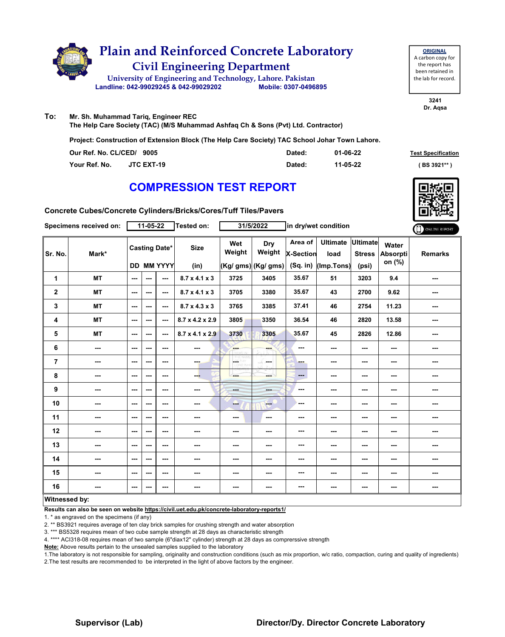

**ORIGINAL** A carbon copy for the report has been retained in the lab for record.

> **3241 Dr. Aqsa**

**To: Mr. Sh. Muhammad Tariq, Engineer REC The Help Care Society (TAC) (M/S Muhammad Ashfaq Ch & Sons (Pvt) Ltd. Contractor)**

**Project: Construction of Extension Block (The Help Care Society) TAC School Johar Town Lahore.**

| Our Ref. No. CL/CED/ 9005 |                   | Dated: | 01-06-22 | <b>Test Specification</b> |
|---------------------------|-------------------|--------|----------|---------------------------|
| Your Ref. No.             | <b>JTC EXT-19</b> | Dated: | 11-05-22 | (BS 3921**                |

### **COMPRESSION TEST REPORT**



**Concrete Cubes/Concrete Cylinders/Bricks/Cores/Tuff Tiles/Pavers**

|                | Specimens received on: |                          | 11-05-22                                  |                | Tested on:                  |                   | 31/5/2022                            |                      | in dry/wet condition                             |                          |                                    | ONLINE REPORT  |
|----------------|------------------------|--------------------------|-------------------------------------------|----------------|-----------------------------|-------------------|--------------------------------------|----------------------|--------------------------------------------------|--------------------------|------------------------------------|----------------|
| Sr. No.        | Mark*                  |                          | <b>Casting Date*</b><br><b>DD MM YYYY</b> |                | <b>Size</b><br>(in)         | Wet<br>Weight     | Dry<br>Weight<br>(Kg/ gms) (Kg/ gms) | Area of<br>X-Section | Ultimate Ultimate<br>load<br>(Sq. in) (Imp.Tons) | <b>Stress</b><br>(psi)   | <b>Water</b><br>Absorpti<br>on (%) | <b>Remarks</b> |
|                |                        |                          |                                           |                |                             |                   |                                      |                      |                                                  |                          |                                    |                |
| 1              | <b>MT</b>              | ---                      | ---                                       | $\sim$         | $8.7 \times 4.1 \times 3$   | 3725              | 3405                                 | 35.67                | 51                                               | 3203                     | 9.4                                | ---            |
| $\mathbf 2$    | <b>MT</b>              | $\overline{a}$           | $- - -$                                   | $\overline{a}$ | $8.7 \times 4.1 \times 3$   | 3705              | 3380                                 | 35.67                | 43                                               | 2700                     | 9.62                               | ---            |
| 3              | <b>MT</b>              | ---                      | $--$                                      | ---            | $8.7 \times 4.3 \times 3$   | 3765              | 3385                                 | 37.41                | 46                                               | 2754                     | 11.23                              | ---            |
| 4              | <b>MT</b>              | $- - -$                  | ---                                       | $\sim$         | 8.7 x 4.2 x 2.9             | 3805              | 3350                                 | 36.54                | 46                                               | 2820                     | 13.58                              | ---            |
| 5              | <b>MT</b>              | ---                      | ---                                       | $\sim$         | $8.7 \times 4.1 \times 2.9$ | 3730              | 3305                                 | 35.67                | 45                                               | 2826                     | 12.86                              | ---            |
| 6              | ---                    | $- - -$                  | $- - -$                                   | ---            | ---                         | <b>And</b>        | ---                                  | ---                  | ---                                              | ---                      | $-$                                | ---            |
| $\overline{7}$ | ---                    | ---                      | ---                                       | ---            | ---                         | OETHY<br>LIDRO WY | in med                               | ---                  | ---                                              | ---                      | ---                                | ---            |
| 8              | ---                    | ---                      | ---                                       | ---            | ---                         | ---               | ---                                  | ---                  | ---                                              | $\cdots$                 | ---                                | ---            |
| 9              | ---                    | ---                      | ---                                       | ---            | ---                         | $- - -$           | ---                                  | ---                  | ---                                              | ---                      | ---                                | ---            |
| 10             | ---                    | ---                      | ---                                       | ---            | ---                         | ---               | $-1$                                 | ---                  | ---                                              | ---                      | ---                                |                |
| 11             | ---                    | $-$                      | ---                                       | ---            | ---                         | $\sim$ $\sim$     | ---                                  | ---                  | ---                                              | ---                      | ---                                | ---            |
| 12             | ---                    | $\overline{\phantom{a}}$ | ---                                       | ---            | ---                         | ---               | ---                                  | ---                  | ---                                              | ---                      | ---                                | ---            |
| 13             | ---                    | $- - -$                  | ---                                       | $\sim$ $\sim$  | ---                         | ---               | ---                                  | ---                  | ---                                              | $\overline{\phantom{a}}$ | $\sim$ $\sim$                      | ---            |
| 14             | ---                    | ---                      | ---                                       | ---            | ---                         | ---               | ---                                  | ---                  | ---                                              | ---                      | ---                                | ---            |
| 15             | ---                    | $\overline{\phantom{a}}$ | ---                                       | ---            | ---                         | ---               | ---                                  | ---                  | $\overline{\phantom{a}}$                         | $\overline{\phantom{a}}$ | ---                                | ---            |
| 16             | ---                    | ---                      | ---                                       | ---            | ---                         | ---               | ---                                  | ---                  | ---                                              | $--$                     | $\overline{\phantom{a}}$           | ---            |
| Witnessed by:  |                        |                          |                                           |                |                             |                   |                                      |                      |                                                  |                          |                                    |                |

#### **Witnessed by:**

**Results can also be seen on website https://civil.uet.edu.pk/concrete-laboratory-reports1/**

1. \* as engraved on the specimens (if any)

2. \*\* BS3921 requires average of ten clay brick samples for crushing strength and water absorption

3. \*\*\* BS5328 requires mean of two cube sample strength at 28 days as characteristic strength

4. \*\*\*\* ACI318-08 requires mean of two sample (6"diax12" cylinder) strength at 28 days as comprerssive strength

**Note:** Above results pertain to the unsealed samples supplied to the laboratory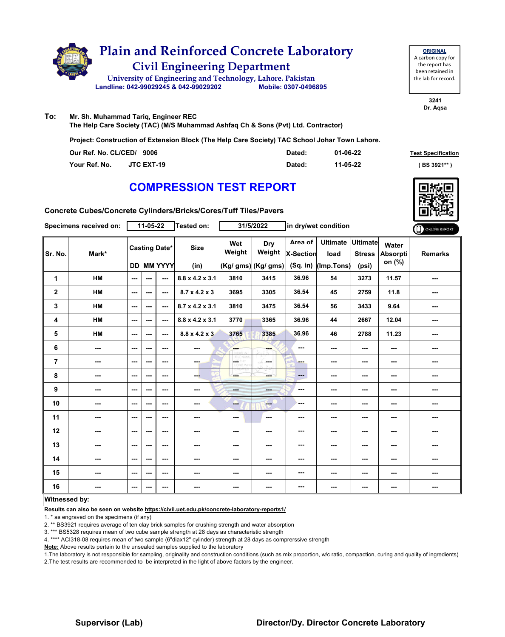

| <b>ORIGINAL</b>     |
|---------------------|
| A carbon copy for   |
| the report has      |
| been retained in    |
| the lab for record. |
|                     |

**3241 Dr. Aqsa**

**To: Mr. Sh. Muhammad Tariq, Engineer REC The Help Care Society (TAC) (M/S Muhammad Ashfaq Ch & Sons (Pvt) Ltd. Contractor)**

**Project: Construction of Extension Block (The Help Care Society) TAC School Johar Town Lahore.**

| Our Ref. No. CL/CED/ 9006 |                   | Dated: | 01-06-22 | <b>Test Specification</b> |
|---------------------------|-------------------|--------|----------|---------------------------|
| Your Ref. No.             | <b>JTC EXT-19</b> | Dated: | 11-05-22 | (BS 3921**)               |

### **COMPRESSION TEST REPORT**



**Concrete Cubes/Concrete Cylinders/Bricks/Cores/Tuff Tiles/Pavers**

|                | Specimens received on: |                          | 11-05-22             |                   | Tested on:                |                   | 31/5/2022            |                             | in dry/wet condition      |                          |                                    | ONLINE REPORT  |
|----------------|------------------------|--------------------------|----------------------|-------------------|---------------------------|-------------------|----------------------|-----------------------------|---------------------------|--------------------------|------------------------------------|----------------|
| Sr. No.        | Mark*                  |                          | <b>Casting Date*</b> |                   | <b>Size</b>               | Wet<br>Weight     | Dry<br>Weight        | Area of<br><b>X-Section</b> | Ultimate Ultimate<br>load | <b>Stress</b>            | Water<br><b>Absorpti</b><br>on (%) | <b>Remarks</b> |
|                |                        |                          |                      | <b>DD MM YYYY</b> | (in)                      |                   | $(Kg/gms)$ (Kg/ gms) |                             | (Sq. in) (Imp. Tons)      | (psi)                    |                                    |                |
| 1              | <b>HM</b>              | $\sim$                   | ---                  | ---               | 8.8 x 4.2 x 3.1           | 3810              | 3415                 | 36.96                       | 54                        | 3273                     | 11.57                              | ---            |
| $\mathbf 2$    | <b>HM</b>              | $\sim$ $\sim$            | ---                  | ---               | $8.7 \times 4.2 \times 3$ | 3695              | 3305                 | 36.54                       | 45                        | 2759                     | 11.8                               | ---            |
| 3              | HM                     | ---                      | ---                  | ---               | 8.7 x 4.2 x 3.1           | 3810              | 3475                 | 36.54                       | 56                        | 3433                     | 9.64                               | ---            |
| 4              | HM                     | $\sim$ $\sim$            | ---                  | ---               | 8.8 x 4.2 x 3.1           | 3770              | 3365                 | 36.96                       | 44                        | 2667                     | 12.04                              | ---            |
| 5              | HM                     | $\sim$                   | ---                  | ---               | $8.8 \times 4.2 \times 3$ | 3765              | 3385                 | 36.96                       | 46                        | 2788                     | 11.23                              | ---            |
| 6              | ---                    | $\overline{a}$           | ---                  | ---               | ---                       | <b>Barn</b>       |                      | ---                         | ---                       | $\sim$ $\sim$            | ---                                | ---            |
| $\overline{7}$ | ---                    | $\sim$                   | ---                  | ---               | ---                       | CETHY<br>LIORD WY | ---                  | ---                         | ---                       | $\hspace{0.05cm} \ldots$ | ---                                | ---            |
| 8              | ---                    | $\overline{\phantom{a}}$ | ---                  | ---               | --                        | ---               | ---                  | ---                         | ---                       | $\sim$ $\sim$            | ---                                | ---            |
| 9              | ---                    | $\sim$                   | ---                  | ---               | ---                       | <b>House</b>      | $- - -$              | ---                         | ---                       | ---                      | ---                                | ---            |
| 10             | ---                    | $\sim$ $\sim$            | ---                  | $--$              | ---                       | --                | <b>Here</b>          | ---                         | ---                       | $\sim$ $\sim$            | ---                                | ---            |
| 11             | ---                    | ---                      | ---                  | ---               | ---                       | $--$              | ---                  | ---                         | ---                       | ---                      | ---                                | ---            |
| 12             | ---                    | ---                      | ---                  | ---               | ---                       | ---               | ---                  | ---                         | ---                       | ---                      | ---                                | ---            |
| 13             | ---                    | ---                      | ---                  | ---               | ---                       | ---               | ---                  | ---                         | ---                       | ---                      | ---                                | ---            |
| 14             | ---                    | ---                      | ---                  | $--$              | ---                       | ---               | ---                  | ---                         | ---                       | ---                      | ---                                | ---            |
| 15             | ---                    | $\sim$                   | ---                  | $--$              | ---                       | ---               | ---                  | ---                         | ---                       | $\sim$                   | ---                                | ---            |
| 16             | ---                    | $\overline{\phantom{a}}$ | ---                  | ---               | $\sim$                    | ---               | ---                  | ---                         | ---                       | $\cdots$                 | ---                                | ---            |
| Witnessed by:  |                        |                          |                      |                   |                           |                   |                      |                             |                           |                          |                                    |                |

#### **Witnessed by:**

**Results can also be seen on website https://civil.uet.edu.pk/concrete-laboratory-reports1/**

1. \* as engraved on the specimens (if any)

2. \*\* BS3921 requires average of ten clay brick samples for crushing strength and water absorption

3. \*\*\* BS5328 requires mean of two cube sample strength at 28 days as characteristic strength

4. \*\*\*\* ACI318-08 requires mean of two sample (6"diax12" cylinder) strength at 28 days as comprerssive strength

**Note:** Above results pertain to the unsealed samples supplied to the laboratory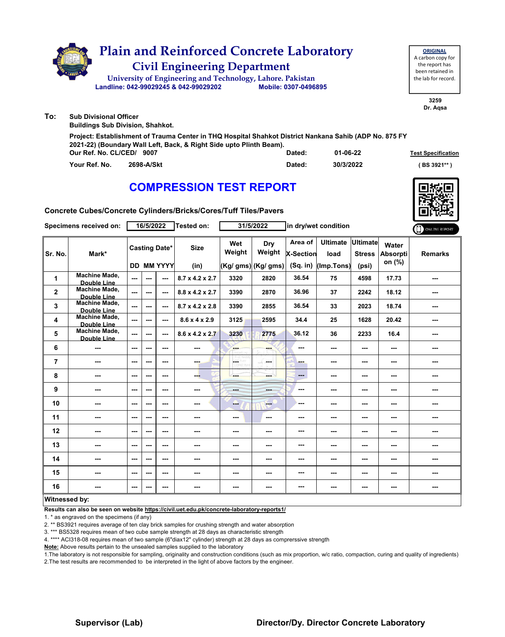

| Our Ref. No. CL/CED/ 9007   | Dated: | 01-06-22  | <b>Test Specification</b> |
|-----------------------------|--------|-----------|---------------------------|
| 2698-A/Skt<br>Your Ref. No. | Dated: | 30/3/2022 | (BS 3921**                |



**Concrete Cubes/Concrete Cylinders/Bricks/Cores/Tuff Tiles/Pavers**

|                | Specimens received on:                     |                          | 16/5/2022            |                   | <b>Tested on:</b>           |                          | 31/5/2022           |                        | in dry/wet condition     |                                  |                          | ONLINE REPORT  |
|----------------|--------------------------------------------|--------------------------|----------------------|-------------------|-----------------------------|--------------------------|---------------------|------------------------|--------------------------|----------------------------------|--------------------------|----------------|
| Sr. No.        | Mark*                                      |                          | <b>Casting Date*</b> |                   | <b>Size</b>                 | Wet<br>Weight            | Dry<br>Weight       | Area of<br>X-Section   | <b>Ultimate</b><br>load  | <b>Ultimate</b><br><b>Stress</b> | Water<br><b>Absorpti</b> | <b>Remarks</b> |
|                |                                            |                          |                      | <b>DD MM YYYY</b> | (in)                        |                          | (Kg/ gms) (Kg/ gms) | $(Sq.$ in)             | (Imp.Tons)               | (psi)                            | on (%)                   |                |
| 1              | Machine Made,<br>Double Line               | $\sim$                   | ---                  | ---               | 8.7 x 4.2 x 2.7             | 3320                     | 2820                | 36.54                  | 75                       | 4598                             | 17.73                    | ---            |
| $\overline{2}$ | <b>Machine Made,</b><br>Double Line        | $\overline{a}$           | ---                  | ---               | $8.8 \times 4.2 \times 2.7$ | 3390                     | 2870                | 36.96                  | 37                       | 2242                             | 18.12                    | ---            |
| 3              | <b>Machine Made,</b><br>Double Line        | $\sim$                   | ---                  | $\sim$            | 8.7 x 4.2 x 2.8             | 3390                     | 2855                | 36.54                  | 33                       | 2023                             | 18.74                    | ---            |
| 4              | <b>Machine Made,</b><br><b>Double Line</b> | $\overline{a}$           | ---                  | ---               | $8.6 \times 4 \times 2.9$   | 3125                     | 2595                | 34.4                   | 25                       | 1628                             | 20.42                    | ---            |
| 5              | <b>Machine Made,</b><br><b>Double Line</b> | ---                      | ---                  | ---               | $8.6 \times 4.2 \times 2.7$ | 3230                     | 2775                | 36.12                  | 36                       | 2233                             | 16.4                     | ---            |
| 6              | ---                                        | ---                      | ---                  | ---               |                             | <b>SHOP</b>              | ---                 | ---                    | ---                      | ---                              | ---                      | ---            |
| 7              | ---                                        | $\overline{a}$           | ---                  | ---               | ---                         | <b>GETHY</b><br>LORD WHI | man.                | ---                    | ---                      | ---                              | ---                      | ---            |
| 8              | ---                                        | ---                      | ---                  | ---               | ---                         | ---                      | ---                 | $\qquad \qquad \cdots$ | ---                      | ---                              | ---                      | ---            |
| 9              | ---                                        | $\overline{\phantom{a}}$ | ---                  | ---               | ---                         | mente.                   | ---                 | ---                    | $\overline{\phantom{a}}$ | ---                              | ---                      |                |
| 10             | $\overline{\phantom{a}}$                   | $\overline{a}$           | ---                  | ---               | ---                         | --                       | ---                 | ---                    | ---                      | ---                              | ---                      | ---            |
| 11             | $\sim$                                     | $\overline{\phantom{a}}$ | ---                  | ---               | ---                         | $\sim$                   | ---                 | ---                    | $- - -$                  | ---                              | ---                      | ---            |
| 12             | ---                                        | ---                      | ---                  | ---               | ---                         | ---                      | ---                 | ---                    | ---                      | ---                              | ---                      | ---            |
| 13             | ---                                        | ---                      | ---                  | ---               | ---                         | ---                      | ---                 | ---                    | ---                      | ---                              | ---                      | ---            |
| 14             | ---                                        | $\sim$                   | ---                  | ---               | ---                         | ---                      | ---                 | ---                    | ---                      | ---                              | ---                      | ---            |
| 15             | ---                                        | $-$                      | ---                  | ---               | ---                         | $\sim$ $\sim$            | ---                 | ---                    | $\sim$ $\sim$            | ---                              | ---                      | ---            |
| 16             | ---                                        | ---                      | ---                  | ---               |                             | ---                      | ---                 | ---                    | ---                      | ---                              | ---                      | ---            |
| Witnessed by:  |                                            |                          |                      |                   |                             |                          |                     |                        |                          |                                  |                          |                |

#### **Witnessed by:**

**Results can also be seen on website https://civil.uet.edu.pk/concrete-laboratory-reports1/**

1. \* as engraved on the specimens (if any)

2. \*\* BS3921 requires average of ten clay brick samples for crushing strength and water absorption

3. \*\*\* BS5328 requires mean of two cube sample strength at 28 days as characteristic strength

4. \*\*\*\* ACI318-08 requires mean of two sample (6"diax12" cylinder) strength at 28 days as comprerssive strength

**Note:** Above results pertain to the unsealed samples supplied to the laboratory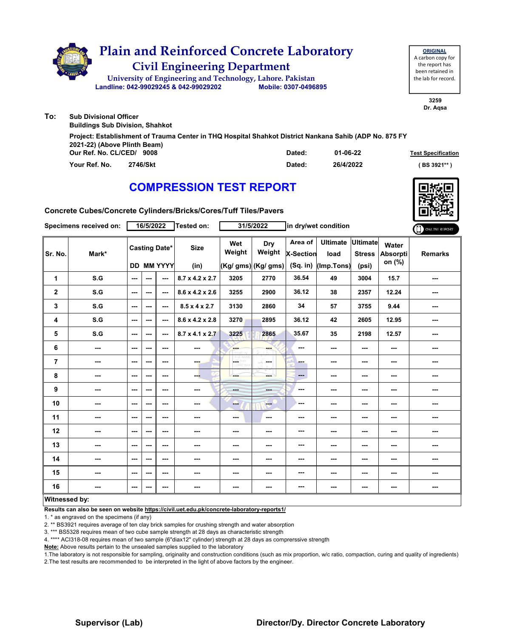|     | <b>Plain and Reinforced Concrete Laboratory</b><br><b>Civil Engineering Department</b><br>University of Engineering and Technology, Lahore. Pakistan<br>Landline: 042-99029245 & 042-99029202 | Mobile: 0307-0496895 | <b>ORIGINAL</b><br>A carbon copy for<br>the report has<br>been retained in<br>the lab for record. |
|-----|-----------------------------------------------------------------------------------------------------------------------------------------------------------------------------------------------|----------------------|---------------------------------------------------------------------------------------------------|
| To: | <b>Sub Divisional Officer</b><br><b>Buildings Sub Division, Shahkot</b>                                                                                                                       |                      | 3259<br>Dr. Agsa                                                                                  |
|     | Project: Establishment of Trauma Center in THQ Hospital Shahkot District Nankana Sahib (ADP No. 875 FY                                                                                        |                      |                                                                                                   |

| Our Ref. No. CL/CED/ 9008 |          | Dated: | 01-06-22  | <b>Test Specification</b> |
|---------------------------|----------|--------|-----------|---------------------------|
| Your Ref. No.             | 2746/Skt | Dated: | 26/4/2022 | (BS 3921**)               |

**Concrete Cubes/Concrete Cylinders/Bricks/Cores/Tuff Tiles/Pavers**

**2021-22) (Above Plinth Beam)**

|                         | Specimens received on: |         | 16/5/2022                |                   | Tested on:                  |                          | 31/5/2022                |                      | in dry/wet condition      |               |                          | ONLINE REPORT  |
|-------------------------|------------------------|---------|--------------------------|-------------------|-----------------------------|--------------------------|--------------------------|----------------------|---------------------------|---------------|--------------------------|----------------|
| Sr. No.                 | Mark*                  |         | <b>Casting Date*</b>     |                   | <b>Size</b>                 | Wet<br>Weight            | Dry<br>Weight            | Area of<br>X-Section | Ultimate Ultimate<br>load | <b>Stress</b> | Water<br><b>Absorpti</b> | <b>Remarks</b> |
|                         |                        |         |                          | <b>DD MM YYYY</b> | (in)                        |                          | $(Kg/gms)$ (Kg/ gms)     | (Sq. in)             | (Imp.Tons)                | (psi)         | on (%)                   |                |
| 1                       | S.G                    | ---     | ---                      | ---               | $8.7 \times 4.2 \times 2.7$ | 3205                     | 2770                     | 36.54                | 49                        | 3004          | 15.7                     | ---            |
| $\overline{\mathbf{2}}$ | S.G                    | $--$    | $\sim$ $\sim$            | ---               | $8.6 \times 4.2 \times 2.6$ | 3255                     | 2900                     | 36.12                | 38                        | 2357          | 12.24                    | ---            |
| $\mathbf 3$             | S.G                    | ---     | $\sim$ $\sim$            | $--$              | $8.5 \times 4 \times 2.7$   | 3130                     | 2860                     | 34                   | 57                        | 3755          | 9.44                     | ---            |
| 4                       | S.G                    | $--$    | $\sim$ $\sim$            | $--$              | 8.6 x 4.2 x 2.8             | 3270                     | 2895                     | 36.12                | 42                        | 2605          | 12.95                    | ---            |
| 5                       | S.G                    | $--$    | $\sim$ $\sim$            | $--$              | $8.7 \times 4.1 \times 2.7$ | 3225                     | 2865                     | 35.67                | 35                        | 2198          | 12.57                    | ---            |
| 6                       | ---                    | $- - -$ | $\sim$ $\sim$            | $- - -$           | ---                         | <b>FAR</b>               | ---                      | ---                  | $\sim$ $\sim$             | $- - -$       | $\sim$ $\sim$            | ---            |
| $\overline{7}$          | ---                    | $--$    | $\sim$ $\sim$            | ---               | ---                         | OF THY                   | ---                      | ---                  | ---                       | ---           | ---                      | ---            |
| 8                       | ---                    | $--$    | $\sim$ $\sim$            | $--$              | ---                         | ---                      | ---                      | $\cdots$             | ---                       | $\sim$ $\sim$ | $\sim$                   | ---            |
| $\boldsymbol{9}$        | ---                    | $--$    | $\sim$ $\sim$            | ---               | ---                         | ---                      | ---                      | ---                  | ---                       | ---           | ---                      | ---            |
| 10                      | ---                    | ---     | ---                      | $--$              | ---                         | ---                      | $-$                      | ---                  | ---                       | ---           | ---                      |                |
| 11                      | ---                    | $--$    | $\overline{\phantom{a}}$ | $--$              | ---                         | $\overline{\phantom{a}}$ | $\overline{\phantom{a}}$ | ---                  | ---                       | ---           | ---                      |                |
| 12                      | ---                    | ---     | $\sim$                   | $--$              | ---                         | ---                      | ---                      | ---                  | ---                       | ---           | ---                      | ---            |
| 13                      | ---                    | ---     | $\sim$ $\sim$            | ---               | ---                         | $\cdots$                 | ---                      | ---                  | ---                       | ---           | $\sim$ $\sim$            | ---            |
| 14                      | ---                    | $--$    | $\overline{\phantom{a}}$ | $--$              | ---                         | ---                      | ---                      | ---                  | ---                       | ---           | ---                      | ---            |
| 15                      | ---                    | ---     | ---                      | ---               | ---                         | ---                      | ---                      | ---                  | $\sim$                    | ---           | ---                      | ---            |
| 16                      |                        | ---     | ---                      | ---               | ---                         | ---                      | ---                      | ---                  | ---                       | ---           | ---                      | ---            |
| $M = 1$                 | المارات والمرابط       |         |                          |                   |                             |                          |                          |                      |                           |               |                          |                |

#### **Witnessed by:**

**Results can also be seen on website https://civil.uet.edu.pk/concrete-laboratory-reports1/**

1. \* as engraved on the specimens (if any)

2. \*\* BS3921 requires average of ten clay brick samples for crushing strength and water absorption

3. \*\*\* BS5328 requires mean of two cube sample strength at 28 days as characteristic strength

4. \*\*\*\* ACI318-08 requires mean of two sample (6"diax12" cylinder) strength at 28 days as comprerssive strength

**Note:** Above results pertain to the unsealed samples supplied to the laboratory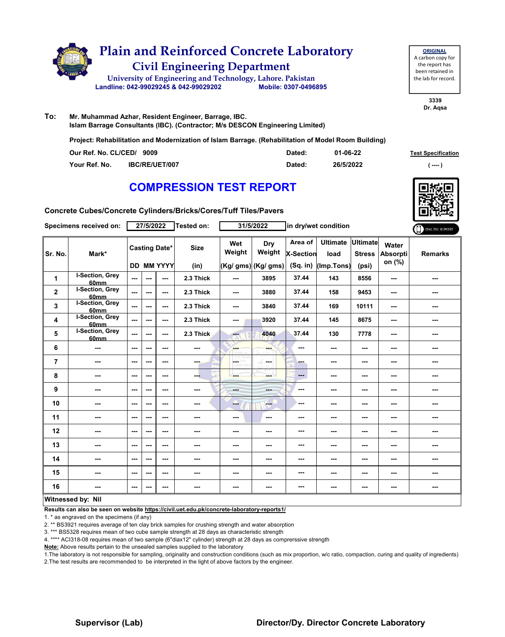

**ORIGINAL** A carbon copy for the report has been retained in the lab for record.

> **3339 Dr. Aqsa**

**To: Mr. Muhammad Azhar, Resident Engineer, Barrage, IBC. Islam Barrage Consultants (IBC). (Contractor; M/s DESCON Engineering Limited)**

**Project: Rehabilitation and Modernization of Islam Barrage. (Rehabilitation of Model Room Building)**

| Our Ref. No. CL/CED/ 9009 |                | Dated: | 01-06-22  | <b>Test Specification</b> |
|---------------------------|----------------|--------|-----------|---------------------------|
| Your Ref. No.             | IBC/RE/UET/007 | Dated: | 26/5/2022 | $---$                     |

### **COMPRESSION TEST REPORT**

**Concrete Cubes/Concrete Cylinders/Bricks/Cores/Tuff Tiles/Pavers**

|                | Specimens received on:                     |                          | 27/5/2022            |               | Tested on:  |                          | 31/5/2022           |                      | in dry/wet condition      |               |                          | ONLINE REPORT  |
|----------------|--------------------------------------------|--------------------------|----------------------|---------------|-------------|--------------------------|---------------------|----------------------|---------------------------|---------------|--------------------------|----------------|
| Sr. No.        | Mark*                                      |                          | <b>Casting Date*</b> |               | <b>Size</b> | Wet<br>Weight            | Dry<br>Weight       | Area of<br>X-Section | Ultimate Ultimate<br>load | <b>Stress</b> | Water<br><b>Absorpti</b> | <b>Remarks</b> |
|                |                                            |                          |                      | DD MM YYYY    | (in)        |                          | (Kg/ gms) (Kg/ gms) | (Sq. in)             | (Imp.Tons)                | (psi)         | on (%)                   |                |
| 1              | <b>I-Section, Grey</b><br>60 <sub>mm</sub> | $\sim$                   | ---                  | $\sim$        | 2.3 Thick   | $\sim$ $\sim$            | 3895                | 37.44                | 143                       | 8556          | $\sim$                   | ---            |
| $\mathbf{2}$   | I-Section, Grey<br>60mm                    | ---                      | ---                  | ---           | 2.3 Thick   | $\overline{\phantom{a}}$ | 3880                | 37.44                | 158                       | 9453          | $\sim$                   | ---            |
| 3              | I-Section, Grey<br>60 <sub>mm</sub>        | $\overline{a}$           | $--$                 | ---           | 2.3 Thick   | $\sim$                   | 3840                | 37.44                | 169                       | 10111         | $\sim$                   | ---            |
| 4              | I-Section, Grey<br>60mm                    | ---                      | ---                  | ---           | 2.3 Thick   | ---                      | 3920                | 37.44                | 145                       | 8675          | ---                      | ---            |
| 5              | <b>I-Section, Grey</b><br>60mm             | $\overline{a}$           | ---                  | ---           | 2.3 Thick   | men.                     | 4040                | 37.44                | 130                       | 7778          | ---                      | ---            |
| 6              | ---                                        | $\overline{\phantom{a}}$ | ---                  | ---           | ---         | ---                      | ---                 | ---                  | ---                       | ---           | ---                      | ---            |
| $\overline{7}$ | ---                                        | $\sim$ $\sim$            | ---                  | ---           | ---         | L.                       | in man              | ---                  | $\sim$ $\sim$             | ---           | $\overline{\phantom{a}}$ | ---            |
| 8              | ---                                        | ---                      | ---                  | ---           | ---         | ---                      | mente del           | ---                  | ---                       | ---           | ---                      | ---            |
| 9              | ---                                        | $\sim$ $\sim$            | ---                  | $\sim$ $\sim$ | ---         | <b>House</b>             | ---                 | ---                  | ---                       | ---           | ---                      | ---            |
| 10             | ---                                        | $\overline{\phantom{a}}$ | ---                  | ---           | ---         | --                       | $-$                 | ---                  | ---                       | ---           | ---                      | ---            |
| 11             | ---                                        | $- - -$                  | ---                  | ---           | ---         | $\sim$ $\sim$            | ---                 | ---                  | ---                       | ---           | $\sim$ $\sim$            | ---            |
| 12             | ---                                        | $\overline{\phantom{a}}$ | ---                  | ---           | ---         | ---                      | ---                 | ---                  | ---                       | ---           | ---                      | ---            |
| 13             | ---                                        | $\overline{\phantom{a}}$ | ---                  | ---           | ---         | ---                      | ---                 | ---                  | ---                       | ---           | ---                      | ---            |
| 14             | ---                                        | $\overline{\phantom{a}}$ | ---                  | ---           | ---         | ---                      | ---                 | ---                  | ---                       | ---           | ---                      | ---            |
| 15             | ---                                        | $\sim$ $\sim$            | ---                  | ---           | ---         | ---                      | ---                 | ---                  | ---                       | ---           | ---                      | ---            |
| 16             | ---                                        | $\sim$ $\sim$            | ---                  | ---           | ---         | ---                      | ---                 | ---                  | ---                       | ---           | ---                      | ---            |
|                | Witnessed hy Nil                           |                          |                      |               |             |                          |                     |                      |                           |               |                          |                |

#### **Witnessed by: Nil**

**Results can also be seen on website https://civil.uet.edu.pk/concrete-laboratory-reports1/**

1. \* as engraved on the specimens (if any)

2. \*\* BS3921 requires average of ten clay brick samples for crushing strength and water absorption

3. \*\*\* BS5328 requires mean of two cube sample strength at 28 days as characteristic strength

4. \*\*\*\* ACI318-08 requires mean of two sample (6"diax12" cylinder) strength at 28 days as comprerssive strength

**Note:** Above results pertain to the unsealed samples supplied to the laboratory